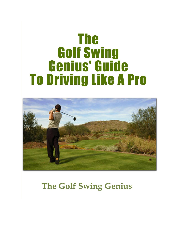# **The Golf Swing Genius' Guide To Driving Like A Pro**



# **The Golf Swing Genius**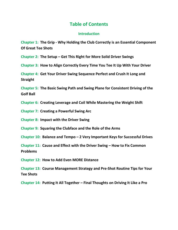#### **Table of Contents**

#### **Introduction**

**Chapter 1: The Grip - Why Holding the Club Correctly is an Essential Component Of Great Tee Shots**

**Chapter 2: The Setup – Get This Right for More Solid Driver Swings**

**Chapter 3: How to Align Correctly Every Time You Tee It Up With Your Driver**

**Chapter 4: Get Your Driver Swing Sequence Perfect and Crush It Long and Straight**

**Chapter 5: The Basic Swing Path and Swing Plane for Consistent Driving of the Golf Ball**

**Chapter 6: Creating Leverage and Coil While Mastering the Weight Shift**

**Chapter 7: Creating a Powerful Swing Arc**

**Chapter 8: Impact with the Driver Swing**

**Chapter 9: Squaring the Clubface and the Role of the Arms**

**Chapter 10: Balance and Tempo – 2 Very Important Keys for Successful Drives**

**Chapter 11: Cause and Effect with the Driver Swing – How to Fix Common Problems**

**Chapter 12: How to Add Even MORE Distance**

**Chapter 13: Course Management Strategy and Pre-Shot Routine Tips for Your Tee Shots**

**Chapter 14: Putting It All Together – Final Thoughts on Driving It Like a Pro**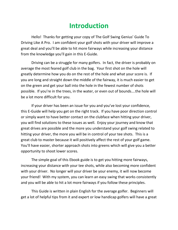## **Introduction**

Hello! Thanks for getting your copy of The Golf Swing Genius' Guide To Driving Like A Pro. I am confident your golf shots with your driver will improve a great deal and you'll be able to hit more fairways while increasing your distance from the knowledge you'll gain in this E-Guide.

Driving can be a struggle for many golfers. In fact, the driver is probably on average the most feared golf club in the bag. Your first shot on the hole will greatly determine how you do on the rest of the hole and what your score is. If you are long and straight down the middle of the fairway, it is much easier to get on the green and get your ball into the hole in the fewest number of shots possible. If you're in the trees, in the water, or even out of bounds….the hole will be a lot more difficult for you.

If your driver has been an issue for you and you've lost your confidence, this E-Guide will help you get on the right track. If you have poor direction control or simply want to have better contact on the clubface when hitting your driver, you will find solutions to these issues as well. Enjoy your journey and know that great drives are possible and the more you understand your golf swing related to hitting your driver, the more you will be in control of your tee shots. This is a great club to master because it will positively affect the rest of your golf game. You'll have easier, shorter approach shots into greens which will give you a better opportunity to shoot lower scores.

The simple goal of this Ebook guide is to get you hitting more fairways, increasing your distance with your tee shots, while also becoming more confident with your driver. No longer will your driver be your enemy, it will now become your friend! With my system, you can learn an easy swing that works consistently and you will be able to hit a lot more fairways if you follow these principles.

This Guide is written in plain English for the average golfer. Beginners will get a lot of helpful tips from it and expert or low handicap golfers will have a great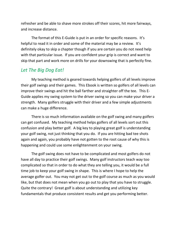refresher and be able to shave more strokes off their scores, hit more fairways, and increase distance.

The format of this E-Guide is put in an order for specific reasons. It's helpful to read it in order and some of the material may be a review. It's definitely okay to skip a chapter though if you are certain you do not need help with that particular issue. If you are confident your grip is correct and want to skip that part and work more on drills for your downswing that is perfectly fine.

#### *Let The Big Dog Eat!*

My teaching method is geared towards helping golfers of all levels improve their golf swings and their games. This Ebook is written so golfers of all levels can improve their swings and hit the ball farther and straighter off the tee. This E- Guide applies my swing system to the driver swing so you can make your driver a strength. Many golfers struggle with their driver and a few simple adjustments can make a huge difference.

There is so much information available on the golf swing and many golfers can get confused. My teaching method helps golfers of all levels sort out this confusion and play better golf. A big key to playing great golf is understanding your golf swing, not just thinking that you do. If you are hitting bad tee shots again and again, you probably have not gotten to the root cause of why this is happening and could use some enlightenment on your swing.

The golf swing does not have to be complicated and most golfers do not have all day to practice their golf swings. Many golf instructors teach way too complicated so that in order to do what they are telling you, it would be a full time job to keep your golf swing in shape. This is where I hope to help the average golfer out. You may not get out to the golf course as much as you would like, but that does not mean when you go out to play that you have to struggle. Quite the contrary! Great golf is about understanding and utilizing key fundamentals that produce consistent results and get you performing better.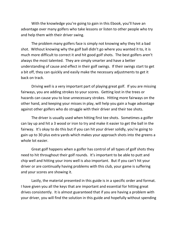With the knowledge you're going to gain in this Ebook, you'll have an advantage over many golfers who take lessons or listen to other people who try and help them with their driver swing.

The problem many golfers face is simply not knowing why they hit a bad shot. Without knowing why the golf ball didn't go where you wanted it to, it is much more difficult to correct it and hit good golf shots. The best golfers aren't always the most talented. They are simply smarter and have a better understanding of cause and effect in their golf swings. If their swings start to get a bit off, they can quickly and easily make the necessary adjustments to get it back on track.

Driving well is a very important part of playing great golf. If you are missing fairways, you are adding strokes to your scores. Getting lost in the trees or hazards can cause you to lose unnecessary strokes. Hitting more fairways on the other hand, and keeping your misses in play, will help you gain a huge advantage against other golfers who do struggle with their driver and their tee shots.

The driver is usually used when hitting first tee shots. Sometimes a golfer can lay up and hit a 3 wood or iron to try and make it easier to get the ball in the fairway. It's okay to do this but if you can hit your driver solidly, you're going to gain up to 30 plus extra yards which makes your approach shots into the greens a whole lot easier.

Great golf happens when a golfer has control of all types of golf shots they need to hit throughout their golf rounds. It's important to be able to putt and chip well and hitting your irons well is also important. But if you can't hit your driver or are continually having problems with this club, your game is suffering and your scores are showing it.

Lastly, the material presented in this guide is in a specific order and format. I have given you all the keys that are important and essential for hitting great drives consistently. It is almost guaranteed that if you are having a problem with your driver, you will find the solution in this guide and hopefully without spending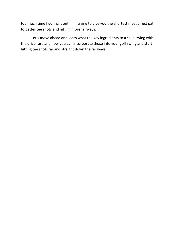too much time figuring it out. I'm trying to give you the shortest most direct path to better tee shots and hitting more fairways.

Let's move ahead and learn what the key ingredients to a solid swing with the driver are and how you can incorporate those into your golf swing and start hitting tee shots far and straight down the fairways.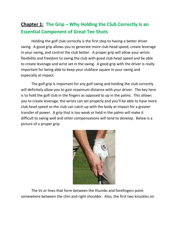## **Chapter 1: The Grip – Why Holding the Club Correctly Is an Essential Component of Great Tee Shots**

Holding the golf club correctly is the first step to having a better driver swing. A good grip allows you to generate more club head speed, create leverage in your swing, and control the club better. A proper grip will allow your wrists flexibility and freedom to swing the club with good club head speed and be able to create leverage and wrist set in the swing. A good grip with the driver is really important for being able to keep your clubface square in your swing and especially at impact.

The golf grip is important for any golf swing and holding the club correctly will definitely allow you to gain maximum distance with your driver. The key here is to hold the golf club in the fingers as opposed to up in the palms. This allows you to create leverage, the wrists can set properly and you'll be able to have more club head speed so the club can catch up with the body at impact for a greater transfer of power. A grip that is too weak or held in the palms will make it difficult to swing well and other compensations will tend to develop. Below is a picture of a proper grip:



The Vs or lines that form between the thumbs and forefingers point somewhere between the chin and right shoulder. Also, the first two knuckles on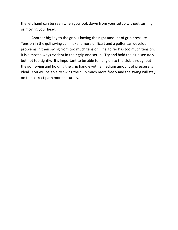the left hand can be seen when you look down from your setup without turning or moving your head.

Another big key to the grip is having the right amount of grip pressure. Tension in the golf swing can make it more difficult and a golfer can develop problems in their swing from too much tension. If a golfer has too much tension, it is almost always evident in their grip and setup. Try and hold the club securely but not too tightly. It's important to be able to hang on to the club throughout the golf swing and holding the grip handle with a medium amount of pressure is ideal. You will be able to swing the club much more freely and the swing will stay on the correct path more naturally.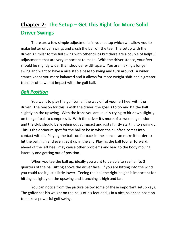## **Chapter 2: The Setup – Get This Right for More Solid Driver Swings**

There are a few simple adjustments in your setup which will allow you to make better driver swings and crush the ball off the tee. The setup with the driver is similar to the full swing with other clubs but there are a couple of helpful adjustments that are very important to make. With the driver stance, your feet should be slightly wider than shoulder width apart. You are making a longer swing and want to have a nice stable base to swing and turn around. A wider stance keeps you more balanced and it allows for more weight shift and a greater transfer of power at impact with the golf ball.

#### *Ball Position*

You want to play the golf ball all the way off of your left heel with the driver. The reason for this is with the driver, the goal is to try and hit the ball slightly on the upswing. With the irons you are usually trying to hit down slightly on the golf ball to compress it. With the driver it's more of a sweeping motion and the club should be leveling out at impact and just slightly starting to swing up. This is the optimum spot for the ball to be in when the clubface comes into contact with it. Playing the ball too far back in the stance can make it harder to hit the ball high and even get it up in the air. Playing the ball too far forward, ahead of the left heel, may cause other problems and lead to the body moving laterally and getting out of position.

When you tee the ball up, ideally you want to be able to see half to 3 quarters of the ball sitting above the driver face. If you are hitting into the wind you could tee it just a little lower. Teeing the ball the right height is important for hitting it slightly on the upswing and launching it high and far.

You can notice from the picture below some of these important setup keys. The golfer has his weight on the balls of his feet and is in a nice balanced position to make a powerful golf swing.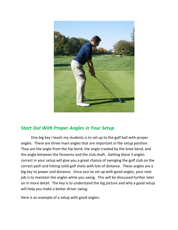

## *Start Out With Proper Angles in Your Setup*

One big key I teach my students is to set up to the golf ball with proper angles. There are three main angles that are important in the setup position. They are the angle from the hip bend, the angle created by the knee bend, and the angle between the forearms and the club shaft. Getting these 3 angles correct in your setup will give you a great chance of swinging the golf club on the correct path and hitting solid golf shots with lots of distance. These angles are a big key to power and distance. Once you've set up with good angles, your next job is to maintain the angles while you swing. This will be discussed further later on in more detail. The key is to understand the big picture and why a good setup will help you make a better driver swing.

Here is an example of a setup with good angles: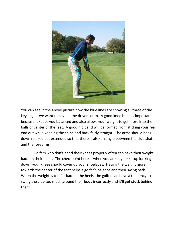

You can see in the above picture how the blue lines are showing all three of the key angles we want to have in the driver setup. A good knee bend is important because it keeps you balanced and also allows your weight to get more into the balls or center of the feet. A good hip bend will be formed from sticking your rear end out while keeping the spine and back fairly straight. The arms should hang down relaxed but extended so that there is also an angle between the club shaft and the forearms.

Golfers who don't bend their knees properly often can have their weight back on their heels. The checkpoint here is when you are in your setup looking down, your knees should cover up your shoelaces. Having the weight more towards the center of the feet helps a golfer's balance and their swing path. When the weight is too far back in the heels, the golfer can have a tendency to swing the club too much around their body incorrectly and it'll get stuck behind them.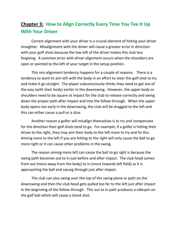## **Chapter 3: How to Align Correctly Every Time You Tee It Up With Your Driver**

Correct alignment with your driver is a crucial element of hitting your driver straighter. Misalignment with the driver will cause a greater error in direction with your golf shots because the low loft of the driver makes this club less forgiving. A common error with driver alignment occurs when the shoulders are open or pointed to the left of your target in the setup position.

This mis-alignment tendency happens for a couple of reasons. There is a tendency to want to aim left with the body in an effort to steer the golf shot to try and make it go straight. The player subconsciously thinks they need to get out of the way (with their body) earlier in the downswing. However, the upper body or shoulders need to be square at impact for the club to release correctly and swing down the proper path after impact and into the follow through. When the upper body opens too early in the downswing, the club will be dragged to the left and this can either cause a pull or a slice.

Another reason a golfer will misalign themselves is to try and compensate for the direction their golf shots tend to go. For example, if a golfer is hitting their drives to the right, they may aim their body to the left more to try and fix this. Aiming more to the left if you are hitting to the right will only cause the ball to go more right or it can cause other problems in the swing.

The reason aiming more left can cause the ball to go right is because the swing path becomes out to in just before and after impact. The club head comes from out (more away from the body) to in (more towards left field) as it is approaching the ball and swung through just after impact.

The club can also swing over the top of the swing plane or path on the downswing and then the club head gets pulled too far to the left just after impact in the beginning of the follow through. This out to in path produces a sidespin on the golf ball which will cause a sliced shot.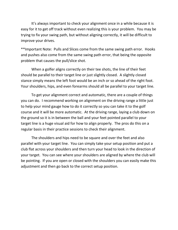It's always important to check your alignment once in a while because it is easy for it to get off track without even realizing this is your problem. You may be trying to fix your swing path, but without aligning correctly, it will be difficult to improve your drives.

\*\*Important Note: Pulls and Slices come from the same swing path error. Hooks and pushes also come from the same swing path error, that being the opposite problem that causes the pull/slice shot.

When a golfer aligns correctly on their tee shots, the line of their feet should be parallel to their target line or just slightly closed. A slightly closed stance simply means the left foot would be an inch or so ahead of the right foot. Your shoulders, hips, and even forearms should all be parallel to your target line.

To get your alignment correct and automatic, there are a couple of things you can do. I recommend working on alignment on the driving range a little just to help your mind gauge how to do it correctly so you can take it to the golf course and it will be more automatic. At the driving range, laying a club down on the ground so it is in between the ball and your feet pointed parallel to your target line is a huge visual aid for how to align properly. The pros do this on a regular basis in their practice sessions to check their alignment.

The shoulders and hips need to be square and over the feet and also parallel with your target line. You can simply take your setup position and put a club flat across your shoulders and then turn your head to look in the direction of your target. You can see where your shoulders are aligned by where the club will be pointing. If you are open or closed with the shoulders you can easily make this adjustment and then go back to the correct setup position.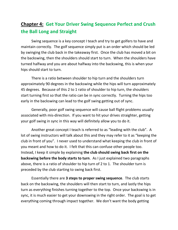## **Chapter 4: Get Your Driver Swing Sequence Perfect and Crush the Ball Long and Straight**

Swing sequence is a key concept I teach and try to get golfers to have and maintain correctly. The golf sequence simply put is an order which should be led by swinging the club back in the takeaway first. Once the club has moved a bit on the backswing, then the shoulders should start to turn. When the shoulders have turned halfway and you are about halfway into the backswing, this is when your hips should start to turn.

There is a ratio between shoulder to hip turn and the shoulders turn approximately 90 degrees in the backswing while the hips will turn approximately 45 degrees. Because of this 2 to 1 ratio of shoulder to hip turn, the shoulders start turning first so that the ratio can be in sync correctly. Turning the hips too early in the backswing can lead to the golf swing getting out of sync.

Generally, poor golf swing sequence will cause ball flight problems usually associated with mis-direction. If you want to hit your drives straighter, getting your golf swing in sync in this way will definitely allow you to do it.

Another great concept I teach is referred to as "leading with the club". A lot of swing instructors will talk about this and they may refer to it as "keeping the club in front of you". I never used to understand what keeping the club in front of you meant and how to do it. I felt that this can confuse other people too. Instead, I keep it simple by explaining **the club should swing back first on the backswing before the body starts to turn**. As I just explained two paragraphs above, there is a ratio of shoulder to hip turn of 2 to 1. The shoulder turn is preceded by the club starting to swing back first.

Essentially there are **3 steps to proper swing sequence**. The club starts back on the backswing, the shoulders will then start to turn, and lastly the hips turn as everything finishes turning together to the top. Once your backswing is in sync, it is much easier to get your downswing in the right order. The goal is to get everything coming through impact together. We don't want the body getting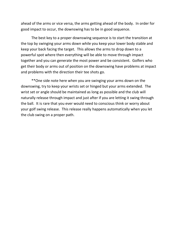ahead of the arms or vice versa, the arms getting ahead of the body. In order for good impact to occur, the downswing has to be in good sequence.

The best key to a proper downswing sequence is to start the transition at the top by swinging your arms down while you keep your lower body stable and keep your back facing the target. This allows the arms to drop down to a powerful spot where then everything will be able to move through impact together and you can generate the most power and be consistent. Golfers who get their body or arms out of position on the downswing have problems at impact and problems with the direction their tee shots go.

\*\*One side note here when you are swinging your arms down on the downswing, try to keep your wrists set or hinged but your arms extended. The wrist set or angle should be maintained as long as possible and the club will naturally release through impact and just after if you are letting it swing through the ball. It is rare that you ever would need to conscious think or worry about your golf swing release. This release really happens automatically when you let the club swing on a proper path.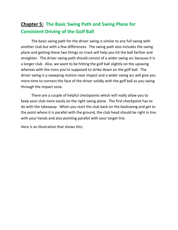## **Chapter 5: The Basic Swing Path and Swing Plane for Consistent Driving of the Golf Ball**

The basic swing path for the driver swing is similar to any full swing with another club but with a few differences. The swing path also includes the swing plane and getting these two things on track will help you hit the ball farther and straighter. The driver swing path should consist of a wider swing arc because it is a longer club. Also, we want to be hitting the golf ball slightly on the upswing whereas with the irons you're supposed to strike down on the golf ball. The driver swing is a sweeping motion near impact and a wider swing arc will give you more time to connect the face of the driver solidly with the golf ball as you swing through the impact zone.

There are a couple of helpful checkpoints which will really allow you to keep your club more easily on the right swing plane. The first checkpoint has to do with the takeaway. When you start the club back on the backswing and get to the point where it is parallel with the ground, the club head should be right in line with your hands and also pointing parallel with your target line.

Here is an illustration that shows this: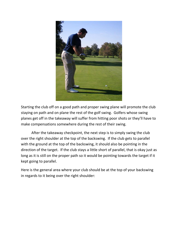

Starting the club off on a good path and proper swing plane will promote the club staying on path and on plane the rest of the golf swing. Golfers whose swing planes get off in the takeaway will suffer from hitting poor shots or they'll have to make compensations somewhere during the rest of their swing.

After the takeaway checkpoint, the next step is to simply swing the club over the right shoulder at the top of the backswing. If the club gets to parallel with the ground at the top of the backswing, it should also be pointing in the direction of the target. If the club stays a little short of parallel, that is okay just as long as it is still on the proper path so it would be pointing towards the target if it kept going to parallel.

Here is the general area where your club should be at the top of your backswing in regards to it being over the right shoulder: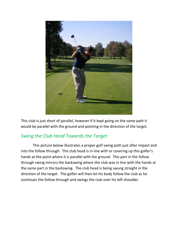

This club is just short of parallel, however if it kept going on the same path it would be parallel with the ground and pointing in the direction of the target.

## *Swing the Club Head Towards the Target*

This picture below illustrates a proper golf swing path just after impact and into the follow through. The club head is in line with or covering up this golfer's hands at the point where it is parallel with the ground. This part in the follow through swing mirrors the backswing where the club was in line with the hands at the same part in the backswing. The club head is being swung straight in the direction of the target. The golfer will then let his body follow the club as he continues the follow through and swings the club over his left shoulder.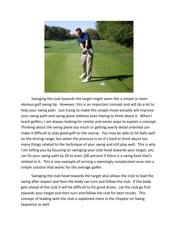

Swinging the club towards the target might seem like a simple or even obvious golf swing tip. However, this is an important concept and will do a lot to help your swing path. Just trying to make this simple move actually will improve your swing path and swing plane without even having to think about it. When I teach golfers, I am always looking for similar and easier ways to explain a concept. Thinking about the swing plane too much or getting overly detail oriented can make it difficult to play good golf on the course. You may be able to hit balls well on the driving range, but when the pressure is on it's hard to think about too many things related to the technique of your swing and still play well. This is why I am telling you by focusing on swinging your club head towards your target, you can fix your swing path by 50 to even 100 percent if there is a swing fault that's related to it. This is one example of turning a seemingly complicated issue into a simple solution that works for the average golfer.

Swinging the club head towards the target also allows the club to lead the swing after impact and then the body can turn and follow the club. If the body gets ahead of the club it will be difficult to hit good drives. Let the club go first towards your target and then turn and follow the club for best results. This concept of leading with the club is explained more in the Chapter on Swing Sequence as well.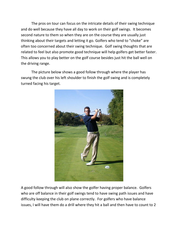The pros on tour can focus on the intricate details of their swing technique and do well because they have all day to work on their golf swings. It becomes second nature to them so when they are on the course they are usually just thinking about their targets and letting it go. Golfers who tend to "choke" are often too concerned about their swing technique. Golf swing thoughts that are related to feel but also promote good technique will help golfers get better faster. This allows you to play better on the golf course besides just hit the ball well on the driving range.

The picture below shows a good follow through where the player has swung the club over his left shoulder to finish the golf swing and is completely turned facing his target.



A good follow through will also show the golfer having proper balance. Golfers who are off balance in their golf swings tend to have swing path issues and have difficulty keeping the club on plane correctly. For golfers who have balance issues, I will have them do a drill where they hit a ball and then have to count to 2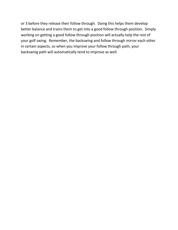or 3 before they release their follow through. Doing this helps them develop better balance and trains them to get into a good follow through position. Simply working on getting a good follow through position will actually help the rest of your golf swing. Remember, the backswing and follow through mirror each other in certain aspects, so when you improve your follow through path, your backswing path will automatically tend to improve as well.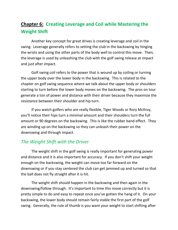## **Chapter 6: Creating Leverage and Coil while Mastering the Weight Shift**

Another key concept for great drives is creating leverage and coil in the swing. Leverage generally refers to setting the club in the backswing by hinging the wrists and using the other parts of the body well to control this move. Then, the leverage is used by unleashing the club with the golf swing release at impact and just after impact.

Golf swing coil refers to the power that is wound up by coiling or turning the upper body over the lower body in the backswing. This is related to the chapter on golf swing sequence where we talk about the upper body or shoulders starting to turn before the lower body moves on the backswing. The pros on tour generate a ton of power and distance with their driver because they maximize the resistance between their shoulder and hip turn.

If you watch golfers who are really flexible, Tiger Woods or Rory McIlroy, you'll notice their hips turn a minimal amount and their shoulders turn the full amount or 90 degrees on the backswing. This is like the rubber band effect. They are winding up on the backswing so they can unleash their power on the downswing and through impact.

### *The Weight Shift with the Driver*

The weight shift in the golf swing is really important for generating power and distance and it is also important for accuracy. If you don't shift your weight enough on the backswing, the weight can move too far forward on the downswing or if you stay centered the club can get jammed up and turned so that the ball does not fly straight after it is hit.

The weight shift should happen in the backswing and then again in the downswing/follow through. It's important to time this move correctly but it is pretty simple to do and easy to repeat once you've gotten the hang of it. On your backswing, the lower body should remain fairly stable the first part of the golf swing. Generally, the rule of thumb is you want your weight to start shifting after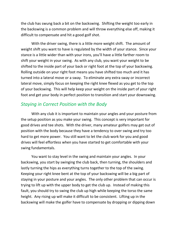the club has swung back a bit on the backswing. Shifting the weight too early in the backswing is a common problem and will throw everything else off, making it difficult to compensate and hit a good golf shot.

With the driver swing, there is a little more weight shift. The amount of weight shift you want to have is regulated by the width of your stance. Since your stance is a little wider than with your irons, you'll have a little farther room to shift your weight in your swing. As with any club, you want your weight to be shifted to the inside part of your back or right foot at the top of your backswing. Rolling outside on your right foot means you have shifted too much and it has turned into a lateral move or a sway. To eliminate any extra sway or incorrect lateral move, simply focus on keeping the right knee flexed as you get to the top of your backswing. This will help keep your weight on the inside part of your right foot and get your body in perfect position to transition and start your downswing.

#### *Staying in Correct Position with the Body*

With any club it is important to maintain your angles and your posture from the setup position as you make your swing. This concept is very important for good drives and tee shots. With the driver, many amateur golfers may get out of position with the body because they have a tendency to over swing and try too hard to get more power. You still want to let the club work for you and good drives will feel effortless when you have started to get comfortable with your swing fundamentals.

You want to stay level in the swing and maintain your angles. In your backswing, you start by swinging the club back, then turning, the shoulders and lastly turning the hips as everything turns together to the top of the swing. Keeping your right knee bent at the top of your backswing will be a big part of staying in your posture and your angles. The only other problem that can occur is trying to lift up with the upper body to get the club up. Instead of making this fault, you should try to swing the club up high while keeping the torso the same height. Any rising up will make it difficult to be consistent. Lifting up in the backswing will make the golfer have to compensate by dropping or dipping down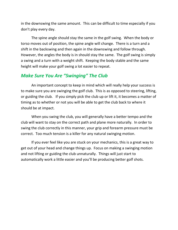in the downswing the same amount. This can be difficult to time especially if you don't play every day.

The spine angle should stay the same in the golf swing. When the body or torso moves out of position, the spine angle will change. There is a turn and a shift in the backswing and then again in the downswing and follow through. However, the angles the body is in should stay the same. The golf swing is simply a swing and a turn with a weight shift. Keeping the body stable and the same height will make your golf swing a lot easier to repeat.

## *Make Sure You Are "Swinging" The Club*

An important concept to keep in mind which will really help your success is to make sure you are swinging the golf club. This is as opposed to steering, lifting, or guiding the club. If you simply pick the club up or lift it, it becomes a matter of timing as to whether or not you will be able to get the club back to where it should be at impact.

When you swing the club, you will generally have a better tempo and the club will want to stay on the correct path and plane more naturally. In order to swing the club correctly in this manner, your grip and forearm pressure must be correct. Too much tension is a killer for any natural swinging motion.

If you ever feel like you are stuck on your mechanics, this is a great way to get out of your head and change things up. Focus on making a swinging motion and not lifting or guiding the club unnaturally. Things will just start to automatically work a little easier and you'll be producing better golf shots.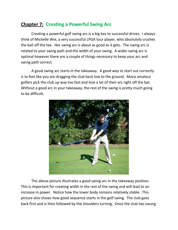## **Chapter 7: Creating a Powerful Swing Arc**

Creating a powerful golf swing arc is a big key to successful drives. I always think of Michelle Wie, a very successful LPGA tour player, who absolutely crushes the ball off the tee. Her swing arc is about as good as it gets. The swing arc is related to your swing path and the width of your swing. A wider swing arc is optimal however there are a couple of things necessary to keep your arc and swing path correct.

A good swing arc starts in the takeaway. A good way to start out correctly is to feel like you are dragging the club back low to the ground. Many amateur golfers pick the club up way too fast and lose a lot of their arc right off the bat. Without a good arc in your takeaway, the rest of the swing is pretty much going to be difficult.



The above picture illustrates a good swing arc in the takeaway position. This is important for creating width in the rest of the swing and will lead to an increase in power. Notice how the lower body remains relatively stable. This picture also shows how good sequence starts in the golf swing. The club goes back first and is then followed by the shoulders turning. Once the club has swung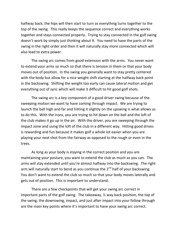halfway back, the hips will then start to turn as everything turns together to the top of the swing. This really keeps the sequence correct and everything works together and stays connected properly. Trying to stay connected in the golf swing doesn't work by simply just thinking about it. You need to have the parts of the swing in the right order and then it will naturally stay more connected which will also lead to extra power.

The swing arc comes from good extension with the arms. You never want to extend your arms so much so that there is tension in them or that your body moves out of position. In the swing you generally want to stay pretty centered with the body but allow for a nice weight shift starting at the halfway back point in the backswing. Shifting the weight too early can cause lateral motion and get everything out of sync which will make it difficult to hit good golf shots.

The swing arc is a key component of a good driver swing because of the sweeping motion we want to have coming through impact. We are trying to launch the ball high and far and hitting it slightly on the upswing is what allows us to do this. With the irons, you are trying to hit down on the ball and the loft of the club makes it go up in the air. With the driver, you are sweeping through the impact zone and using the loft of the club in a different way. Hitting good drives is rewarding and fun because it makes golf a whole lot easier when you are playing your next shot from the fairway as opposed to the rough or even in the trees.

As long as your body is staying in the correct position and you are maintaining your posture, you want to extend the club as much as you can. The arms will stay extended until you're almost halfway into the backswing. The right arm will naturally start to bend as you continue the  $2<sup>nd</sup>$  half of your backswing. You don't want to extend the club so much so that your body moves laterally and gets out of position. This is important to understand.

There are a few checkpoints that will get your swing arc correct in important parts of the golf swing. The takeaway, ½ way back position, the top of the swing, the downswing, impact, and just after impact into your follow through are the main key points where it's important to have your swing arc correct.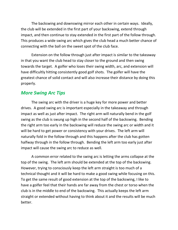The backswing and downswing mirror each other in certain ways. Ideally, the club will be extended in the first part of your backswing, extend through impact, and then continue to stay extended in the first part of the follow through. This produces a wide swing arc which gives the club head a much better chance of connecting with the ball on the sweet spot of the club face.

Extension on the follow through just after impact is similar to the takeaway in that you want the club head to stay closer to the ground and then swing towards the target. A golfer who loses their swing width, arc, and extension will have difficultly hitting consistently good golf shots. The golfer will have the greatest chance of solid contact and will also increase their distance by doing this properly.

#### *More Swing Arc Tips*

The swing arc with the driver is a huge key for more power and better drives. A good swing arc is important especially in the takeaway and through impact as well as just after impact. The right arm will naturally bend in the golf swing as the club is swung up high in the second half of the backswing. Bending the right arm too early in the backswing will reduce the swing arc or width and it will be hard to get power or consistency with your drives. The left arm will naturally fold in the follow through and this happens after the club has gotten halfway through in the follow through. Bending the left arm too early just after impact will cause the swing arc to reduce as well.

A common error related to the swing arc is letting the arms collapse at the top of the swing. The left arm should be extended at the top of the backswing. However, trying to consciously keep the left arm straight is too much of a technical thought and it will be hard to make a good swing while focusing on this. To get the same result of good extension at the top of the backswing, I like to have a golfer feel that their hands are far away from the chest or torso when the club is in the middle to end of the backswing. This actually keeps the left arm straight or extended without having to think about it and the results will be much better.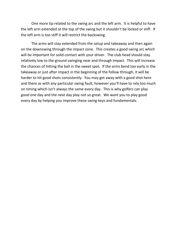One more tip related to the swing arc and the left arm. It is helpful to have the left arm extended at the top of the swing but it shouldn't be locked or stiff. If the left arm is too stiff it will restrict the backswing.

The arms will stay extended from the setup and takeaway and then again on the downswing through the impact zone. This creates a good swing arc which will be important for solid contact with your driver. The club head should stay relatively low to the ground swinging near and through impact. This will increase the chances of hitting the ball in the sweet spot. If the arms bend too early in the takeaway or just after impact in the beginning of the follow through, it will be harder to hit good shots consistently. You may get away with a good shot here and there as with any particular swing fault, however you'll have to rely too much on timing which isn't always the same every day. This is why golfers can play good one day and the next day play not so great. We want you to play good every day by helping you improve these swing keys and fundamentals.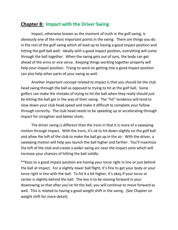## **Chapter 8: Impact with the Driver Swing**

Impact, otherwise known as the moment of truth in the golf swing, is obviously one of the most important points in the swing. There are things you do in the rest of the golf swing which all lead up to having a good impact position and hitting the golf ball well. Ideally with a good impact position, everything will come through the ball together. When the swing gets out of sync, the body can get ahead of the arms or vice versa. Keeping things working together properly will help your impact position. Trying to work on getting into a good impact position can also help other parts of your swing as well.

Another important concept related to impact is that you should let the club head swing through the ball as opposed to trying to hit at the golf ball. Some golfers can make the mistake of trying to hit the ball when they really should just be letting the ball get in the way of their swing. The "hit" tendency will tend to slow down your club head speed and make it difficult to complete your follow through correctly. The club head needs to be speeding up or accelerating through impact for straighter and better shots.

The driver swing is different than the irons in that it is more of a sweeping motion through impact. With the irons, it's ok to hit down slightly on the golf ball and allow the loft of the club to make the ball go up in the air. With the driver, a sweeping motion will help you launch the ball higher and farther. You'll maximize the loft of the club and create a wider swing arc near the impact zone which will increase your chances of hitting the ball solidly.

\*\*Keys to a good impact position are having your torso right in line or just behind the ball at impact. For a slightly lower ball flight, it's fine to get your body or your torso right in line with the ball. To hit it a bit higher, it's okay if your torso or center is slightly behind the ball. The key is to be moving forward in your downswing so that after you've hit the ball, you will continue to move forward as well. This is related to having a good weight shift in the swing. (See Chapter on weight shift for more detail).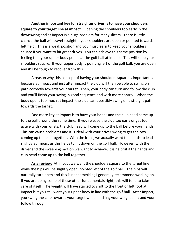**Another important key for straighter drives is to have your shoulders square to your target line at impact.** Opening the shoulders too early in the downswing and at impact is a huge problem for many slicers. There is little chance the ball will travel straight if your shoulders are open or pointed towards left field. This is a weak position and you must learn to keep your shoulders square if you want to hit great drives. You can achieve this same position by feeling that your upper body points at the golf ball at impact. This will keep your shoulders square. If your upper body is pointing left of the golf ball, you are open and it'll be tough to recover from this.

A reason why this concept of having your shoulders square is important is because at impact and just after impact the club will then be able to swing on path correctly towards your target. Then, your body can turn and follow the club and you'll finish your swing in good sequence and with more control. When the body opens too much at impact, the club can't possibly swing on a straight path towards the target.

One more key at impact is to have your hands and the club head come up to the ball around the same time. If you release the club too early or get too active with your wrists, the club head will come up to the ball before your hands. This can cause problems and it is ideal with your driver swing to get the two coming up the ball together. With the irons, we actually want the hands to lead slightly at impact as this helps to hit down on the golf ball. However, with the driver and the sweeping motion we want to achieve, it is helpful if the hands and club head come up to the ball together.

**As a review:** At impact we want the shoulders square to the target line while the hips will be slightly open, pointed left of the golf ball. The hips will naturally turn open and this is not something I generally recommend working on. If you are doing some of these other fundamentals right, this will tend to take care of itself. The weight will have started to shift to the front or left foot at impact but you still want your upper body in line with the golf ball. After impact, you swing the club towards your target while finishing your weight shift and your follow through.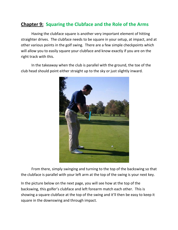## **Chapter 9: Squaring the Clubface and the Role of the Arms**

Having the clubface square is another very important element of hitting straighter drives. The clubface needs to be square in your setup, at impact, and at other various points in the golf swing. There are a few simple checkpoints which will allow you to easily square your clubface and know exactly if you are on the right track with this.

In the takeaway when the club is parallel with the ground, the toe of the club head should point either straight up to the sky or just slightly inward.



From there, simply swinging and turning to the top of the backswing so that the clubface is parallel with your left arm at the top of the swing is your next key.

In the picture below on the next page, you will see how at the top of the backswing, this golfer's clubface and left forearm match each other. This is showing a square clubface at the top of the swing and it'll then be easy to keep it square in the downswing and through impact.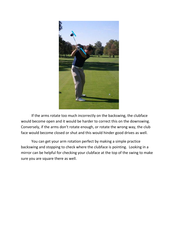

If the arms rotate too much incorrectly on the backswing, the clubface would become open and it would be harder to correct this on the downswing. Conversely, if the arms don't rotate enough, or rotate the wrong way, the club face would become closed or shut and this would hinder good drives as well.

You can get your arm rotation perfect by making a simple practice backswing and stopping to check where the clubface is pointing. Looking in a mirror can be helpful for checking your clubface at the top of the swing to make sure you are square there as well.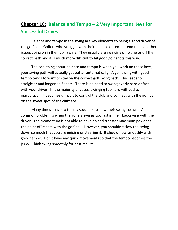## **Chapter 10: Balance and Tempo – 2 Very Important Keys for Successful Drives**

Balance and tempo in the swing are key elements to being a good driver of the golf ball. Golfers who struggle with their balance or tempo tend to have other issues going on in their golf swing. They usually are swinging off plane or off the correct path and it is much more difficult to hit good golf shots this way.

The cool thing about balance and tempo is when you work on these keys, your swing path will actually get better automatically. A golf swing with good tempo tends to want to stay on the correct golf swing path. This leads to straighter and longer golf shots. There is no need to swing overly hard or fast with your driver. In the majority of cases, swinging too hard will lead to inaccuracy. It becomes difficult to control the club and connect with the golf ball on the sweet spot of the clubface.

Many times I have to tell my students to slow their swings down. A common problem is when the golfers swings too fast in their backswing with the driver. The momentum is not able to develop and transfer maximum power at the point of impact with the golf ball. However, you shouldn't slow the swing down so much that you are guiding or steering it. It should flow smoothly with good tempo. Don't have any quick movements so that the tempo becomes too jerky. Think swing smoothly for best results.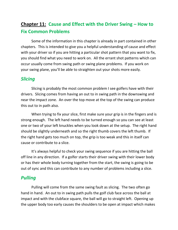## **Chapter 11: Cause and Effect with the Driver Swing – How to Fix Common Problems**

Some of the information in this chapter is already in part contained in other chapters. This is intended to give you a helpful understanding of cause and effect with your driver so if you are hitting a particular shot pattern that you want to fix, you should find what you need to work on. All the errant shot patterns which can occur usually come from swing path or swing plane problems. If you work on your swing plane, you'll be able to straighten out your shots more easily.

#### *Slicing*

Slicing is probably the most common problem I see golfers have with their drivers. Slicing comes from having an out to in swing path in the downswing and near the impact zone. An over the top move at the top of the swing can produce this out to in path also.

When trying to fix your slice, first make sure your grip is in the fingers and is strong enough. The left hand needs to be turned enough so you can see at least one or two of your left knuckles when you look down at the setup. The right hand should be slightly underneath and so the right thumb covers the left thumb. If the right hand gets too much on top, the grip is too weak and this in itself can cause or contribute to a slice.

It's always helpful to check your swing sequence if you are hitting the ball off line in any direction. If a golfer starts their driver swing with their lower body or has their whole body turning together from the start, the swing is going to be out of sync and this can contribute to any number of problems including a slice.

## *Pulling*

Pulling will come from the same swing fault as slicing. The two often go hand in hand. An out to in swing path pulls the golf club face across the ball at impact and with the clubface square, the ball will go to straight left. Opening up the upper body too early causes the shoulders to be open at impact which makes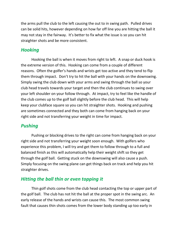the arms pull the club to the left causing the out to in swing path. Pulled drives can be solid hits, however depending on how far off line you are hitting the ball it may not stay in the fairway. It's better to fix what the issue is so you can hit straighter shots and be more consistent.

#### *Hooking*

Hooking the ball is when it moves from right to left. A snap or duck hook is the extreme version of this. Hooking can come from a couple of different reasons. Often the golfer's hands and wrists get too active and they tend to flip them through impact. Don't try to hit the ball with your hands on the downswing. Simply swing the club down with your arms and swing through the ball so your club head travels towards your target and then the club continues to swing over your left shoulder on your follow through. At impact, try to feel like the handle of the club comes up to the golf ball slightly before the club head. This will help keep your clubface square so you can hit straighter shots. Hooking and pushing are sometimes connected and they both can come from hanging back on your right side and not transferring your weight in time for impact.

## *Pushing*

Pushing or blocking drives to the right can come from hanging back on your right side and not transferring your weight soon enough. With golfers who experience this problem, I will try and get them to follow through to a full and balanced finish as this will automatically help their weight shift so they get through the golf ball. Getting stuck on the downswing will also cause a push. Simply focusing on the swing plane can get things back on track and help you hit straighter drives.

## *Hitting the ball thin or even topping it*

Thin golf shots come from the club head contacting the top or upper part of the golf ball. The club has not hit the ball at the proper spot in the swing arc. An early release of the hands and wrists can cause this. The most common swing fault that causes thin shots comes from the lower body standing up too early in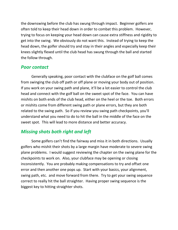the downswing before the club has swung through impact. Beginner golfers are often told to keep their head down in order to combat this problem. However, trying to focus on keeping your head down can cause extra stiffness and rigidity to get into the swing. We obviously do not want this. Instead of trying to keep the head down, the golfer should try and stay in their angles and especially keep their knees slightly flexed until the club head has swung through the ball and started the follow through.

### *Poor contact*

Generally speaking, poor contact with the clubface on the golf ball comes from swinging the club off path or off plane or moving your body out of position. If you work on your swing path and plane, it'll be a lot easier to control the club head and connect with the golf ball on the sweet spot of the face. You can have mishits on both ends of the club head, either on the heel or the toe. Both errors or mishits come from different swing path or plane errors, but they are both related to the swing path. So if you review you swing path checkpoints, you'll understand what you need to do to hit the ball in the middle of the face on the sweet spot. This will lead to more distance and better accuracy.

## *Missing shots both right and left*

Some golfers can't find the fairway and miss it in both directions. Usually golfers who mishit their shots by a large margin have moderate to severe swing plane problems. I would suggest reviewing the chapter on the swing plane for the checkpoints to work on. Also, your clubface may be opening or closing inconsistently. You are probably making compensations to try and offset one error and then another one pops up. Start with your basics, your alignment, swing path, etc. and move forward from there. Try to get your swing sequence correct to really hit the ball straighter. Having proper swing sequence is the biggest key to hitting straighter shots.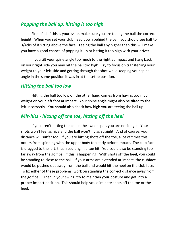## *Popping the ball up, hitting it too high*

First of all if this is your issue, make sure you are teeing the ball the correct height. When you set your club head down behind the ball, you should see half to 3/4ths of it sitting above the face. Teeing the ball any higher than this will make you have a good chance of popping it up or hitting it too high with your driver.

If you tilt your spine angle too much to the right at impact and hang back on your right side you may hit the ball too high. Try to focus on transferring your weight to your left side and getting through the shot while keeping your spine angle in the same position it was in at the setup position.

## *Hitting the ball too low*

Hitting the ball too low on the other hand comes from having too much weight on your left foot at impact. Your spine angle might also be tilted to the left incorrectly. You should also check how high you are teeing the ball up.

## *Mis-hits - hitting off the toe, hitting off the heel*

If you aren't hitting the ball in the sweet spot, you are noticing it. Your shots won't feel as nice and the ball won't fly as straight. And of course, your distance will suffer too. If you are hitting shots off the toe, a lot of times this occurs from spinning with the upper body too early before impact. The club face is dragged to the left, thus, resulting in a toe hit. You could also be standing too far away from the golf ball if this is happening. With shots off the heel, you could be standing to close to the ball. If your arms are extended at impact, the clubface would be pushed out away from the ball and would hit the heel on the club face. To fix either of these problems, work on standing the correct distance away from the golf ball. Then in your swing, try to maintain your posture and get into a proper impact position. This should help you eliminate shots off the toe or the heel.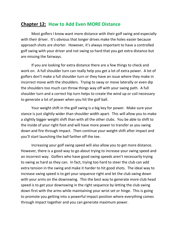#### **Chapter 12: How to Add Even MORE Distance**

Most golfers I know want more distance with their golf swing and especially with their driver. It's obvious that longer drives make the holes easier because approach shots are shorter. However, it's always important to have a controlled golf swing with your driver and not swing so hard that you get extra distance but are missing the fairways.

If you are looking for extra distance there are a few things to check and work on. A full shoulder turn can really help you get a lot of extra power. A lot of golfers don't make a full shoulder turn or they have an issue where they make in incorrect move with the shoulders. Trying to sway or move laterally or even dip the shoulders too much can throw things way off with your swing path. A full shoulder turn and a correct hip turn helps to create the wind up or coil necessary to generate a lot of power when you hit the golf ball.

Your weight shift in the golf swing is a big key for power. Make sure your stance is just slightly wider than shoulder width apart. This will allow you to make a slightly bigger weight shift than with all the other clubs. You be able to shift to the inside of your right foot and will have more power to transfer as you swing down and fire through impact. Then continue your weight shift after impact and you'll start launching the ball farther off the tee.

Increasing your golf swing speed will also allow you to get more distance. However, there is a good way to go about trying to increase your swing speed and an incorrect way. Golfers who have good swing speeds aren't necessarily trying to swing as hard as they can. In fact, trying too hard to steer the club can add extra tension in the swing and make it harder to hit good shots. The ideal way to increase swing speed is to get your sequence right and let the club swing down with your arms on the downswing. This the best way to generate more club head speed is to get your downswing in the right sequence by letting the club swing down first with the arms while maintaining your wrist set or hinge. This is going to promote you getting into a powerful impact position where everything comes through impact together and you can generate maximum power.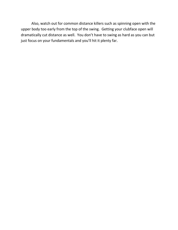Also, watch out for common distance killers such as spinning open with the upper body too early from the top of the swing. Getting your clubface open will dramatically cut distance as well. You don't have to swing as hard as you can but just focus on your fundamentals and you'll hit it plenty far.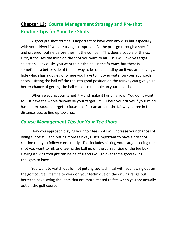## **Chapter 13: Course Management Strategy and Pre-shot Routine Tips for Your Tee Shots**

A good pre shot routine is important to have with any club but especially with your driver if you are trying to improve. All the pros go through a specific and ordered routine before they hit the golf ball. This does a couple of things. First, it focuses the mind on the shot you want to hit. This will involve target selection. Obviously, you want to hit the ball in the fairway, but there is sometimes a better side of the fairway to be on depending on if you are playing a hole which has a dogleg or where you have to hit over water on your approach shots. Hitting the ball off the tee into good position on the fairway can give you a better chance of getting the ball closer to the hole on your next shot.

When selecting your target, try and make it fairly narrow. You don't want to just have the whole fairway be your target. It will help your drives if your mind has a more specific target to focus on. Pick an area of the fairway, a tree in the distance, etc. to line up towards.

### *Course Management Tips for Your Tee Shots*

How you approach playing your golf tee shots will increase your chances of being successful and hitting more fairways. It's important to have a pre shot routine that you follow consistently. This includes picking your target, seeing the shot you want to hit, and teeing the ball up on the correct side of the tee box. Having a swing thought can be helpful and I will go over some good swing thoughts to have.

You want to watch out for not getting too technical with your swing out on the golf course. It's fine to work on your technique on the driving range but better to have swing thoughts that are more related to feel when you are actually out on the golf course.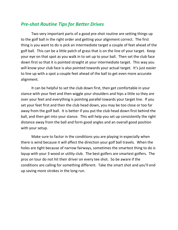## *Pre-shot Routine Tips for Better Drives*

Two very important parts of a good pre-shot routine are setting things up to the golf ball in the right order and getting your alignment correct. The first thing is you want to do is pick an intermediate target a couple of feet ahead of the golf ball. This can be a little patch of grass that is on the line of your target. Keep your eye on that spot as you walk in to set up to your ball. Then set the club face down first so that it is pointed straight at your intermediate target. This way you will know your club face is also pointed towards your actual target. It's just easier to line up with a spot a couple feet ahead of the ball to get even more accurate alignment.

It can be helpful to set the club down first, then get comfortable in your stance with your feet and then wiggle your shoulders and hips a little so they are over your feet and everything is pointing parallel towards your target line. If you set your feet first and then the club head down, you may be too close or too far away from the golf ball. It is better if you put the club head down first behind the ball, and then get into your stance. This will help you set up consistently the right distance away from the ball and form good angles and an overall good position with your setup.

Make sure to factor in the conditions you are playing in especially when there is wind because it will affect the direction your golf ball travels. When the holes are tight because of narrow fairways, sometimes the smartest thing to do is layup with your 3 wood or utility club. The best golfers are smartest golfers. The pros on tour do not hit their driver on every tee shot. So be aware if the conditions are calling for something different. Take the smart shot and you'll end up saving more strokes in the long run.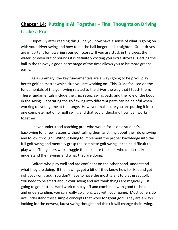## **Chapter 14: Putting It All Together – Final Thoughts on Driving It Like a Pro**

Hopefully after reading this guide you now have a sense of what is going on with your driver swing and how to hit the ball longer and straighter. Great drives are important for lowering your golf scores. If you are stuck in the trees, the water, or even out of bounds it is definitely costing you extra strokes. Getting the ball in the fairway a good percentage of the time allows you to hit more greens easily.

As a summary, the key fundamentals are always going to help you play better golf no matter which club you are working on. This Guide focused on the fundamentals of the golf swing related to the driver the way that I teach them. These fundamentals include the grip, setup, swing path, and the role of the body in the swing. Separating the golf swing into different parts can be helpful when working on your game at the range. However, make sure you are putting it into one complete motion or golf swing and that you understand how it all works together.

I never understood teaching pros who would focus on a student's backswing for a few lessons without telling them anything about their downswing and follow through. Without being to implement the proper knowledge into the full golf swing and mentally grasp the complete golf swing, it can be difficult to play well. The golfers who struggle the most are the ones who don't really understand their swings and what they are doing.

Golfers who play well and are confident on the other hand, understand what they are doing. If their swings get a bit off they know how to fix it and get right back on track. You don't have to have the most talent to play great golf. You need to be smart about your swing and not think things are magically just going to get better. Hard work can pay off and combined with good technique and understanding, you can really go a long way with your game. Most golfers do not understand these simple concepts that work for great golf. They are always looking for the newest, latest swing thought and think it will change their swing.